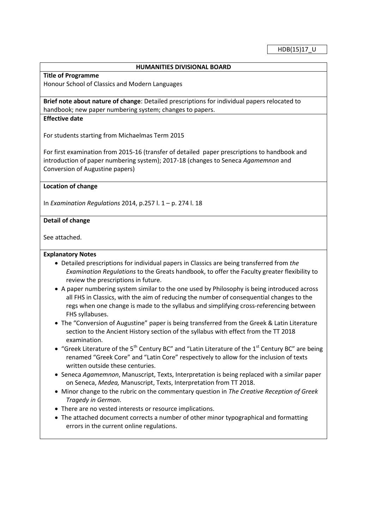## **HUMANITIES DIVISIONAL BOARD**

**Title of Programme**

Honour School of Classics and Modern Languages

**Brief note about nature of change**: Detailed prescriptions for individual papers relocated to handbook; new paper numbering system; changes to papers.

**Effective date**

For students starting from Michaelmas Term 2015

For first examination from 2015-16 (transfer of detailed paper prescriptions to handbook and introduction of paper numbering system); 2017-18 (changes to Seneca *Agamemnon* and Conversion of Augustine papers)

**Location of change**

In *Examination Regulations* 2014, p.257 l. 1 – p. 274 l. 18

## **Detail of change**

See attached.

## **Explanatory Notes**

- Detailed prescriptions for individual papers in Classics are being transferred from *the Examination Regulations* to the Greats handbook, to offer the Faculty greater flexibility to review the prescriptions in future.
- A paper numbering system similar to the one used by Philosophy is being introduced across all FHS in Classics, with the aim of reducing the number of consequential changes to the regs when one change is made to the syllabus and simplifying cross-referencing between FHS syllabuses.
- The "Conversion of Augustine" paper is being transferred from the Greek & Latin Literature section to the Ancient History section of the syllabus with effect from the TT 2018 examination.
- "Greek Literature of the 5<sup>th</sup> Century BC" and "Latin Literature of the 1<sup>st</sup> Century BC" are being renamed "Greek Core" and "Latin Core" respectively to allow for the inclusion of texts written outside these centuries.
- Seneca *Agamemnon*, Manuscript, Texts, Interpretation is being replaced with a similar paper on Seneca, *Medea,* Manuscript, Texts, Interpretation from TT 2018.
- Minor change to the rubric on the commentary question in *The Creative Reception of Greek Tragedy in German.*
- There are no vested interests or resource implications.
- The attached document corrects a number of other minor typographical and formatting errors in the current online regulations.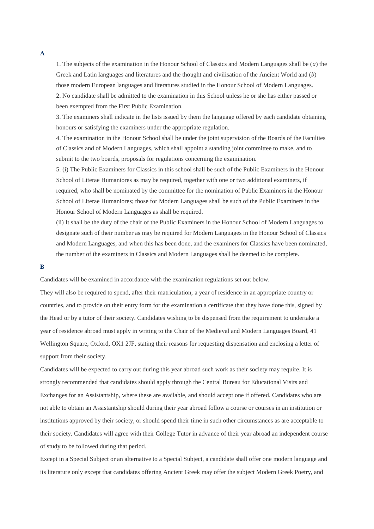**A**

1. The subjects of the examination in the Honour School of Classics and Modern Languages shall be (*a*) the Greek and Latin languages and literatures and the thought and civilisation of the Ancient World and (*b*) those modern European languages and literatures studied in the Honour School of Modern Languages. 2. No candidate shall be admitted to the examination in this School unless he or she has either passed or been exempted from the First Public Examination.

3. The examiners shall indicate in the lists issued by them the language offered by each candidate obtaining honours or satisfying the examiners under the appropriate regulation.

4. The examination in the Honour School shall be under the joint supervision of the Boards of the Faculties of Classics and of Modern Languages, which shall appoint a standing joint committee to make, and to submit to the two boards, proposals for regulations concerning the examination.

5. (i) The Public Examiners for Classics in this school shall be such of the Public Examiners in the Honour School of Literae Humaniores as may be required, together with one or two additional examiners, if required, who shall be nominated by the committee for the nomination of Public Examiners in the Honour School of Literae Humaniores; those for Modern Languages shall be such of the Public Examiners in the Honour School of Modern Languages as shall be required.

(ii) It shall be the duty of the chair of the Public Examiners in the Honour School of Modern Languages to designate such of their number as may be required for Modern Languages in the Honour School of Classics and Modern Languages, and when this has been done, and the examiners for Classics have been nominated, the number of the examiners in Classics and Modern Languages shall be deemed to be complete.

## **B**

Candidates will be examined in accordance with the examination regulations set out below.

They will also be required to spend, after their matriculation, a year of residence in an appropriate country or countries, and to provide on their entry form for the examination a certificate that they have done this, signed by the Head or by a tutor of their society. Candidates wishing to be dispensed from the requirement to undertake a year of residence abroad must apply in writing to the Chair of the Medieval and Modern Languages Board, 41 Wellington Square, Oxford, OX1 2JF, stating their reasons for requesting dispensation and enclosing a letter of support from their society.

Candidates will be expected to carry out during this year abroad such work as their society may require. It is strongly recommended that candidates should apply through the Central Bureau for Educational Visits and Exchanges for an Assistantship, where these are available, and should accept one if offered. Candidates who are not able to obtain an Assistantship should during their year abroad follow a course or courses in an institution or institutions approved by their society, or should spend their time in such other circumstances as are acceptable to their society. Candidates will agree with their College Tutor in advance of their year abroad an independent course of study to be followed during that period.

Except in a Special Subject or an alternative to a Special Subject, a candidate shall offer one modern language and its literature only except that candidates offering Ancient Greek may offer the subject Modern Greek Poetry, and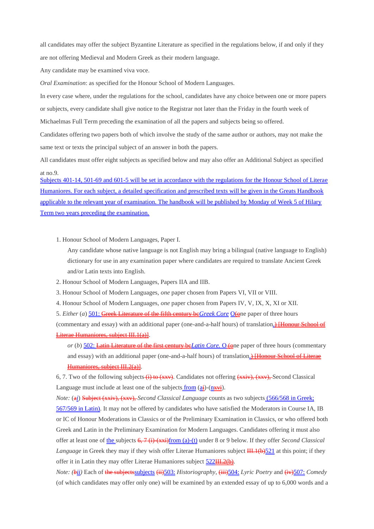all candidates may offer the subject Byzantine Literature as specified in the regulations below, if and only if they

are not offering Medieval and Modern Greek as their modern language.

Any candidate may be examined viva voce.

*Oral Examination*: as specified for the Honour School of Modern Languages.

In every case where, under the regulations for the school, candidates have any choice between one or more papers

or subjects, every candidate shall give notice to the Registrar not later than the Friday in the fourth week of

Michaelmas Full Term preceding the examination of all the papers and subjects being so offered.

Candidates offering two papers both of which involve the study of the same author or authors, may not make the same text or texts the principal subject of an answer in both the papers.

All candidates must offer eight subjects as specified below and may also offer an Additional Subject as specified at no.9.

Subjects 401-14, 501-69 and 601-5 will be set in accordance with the regulations for the Honour School of Literae Humaniores. For each subject, a detailed specification and prescribed texts will be given in the Greats Handbook applicable to the relevant year of examination. The handbook will be published by Monday of Week 5 of Hilary Term two years preceding the examination.

1. Honour School of Modern Languages, Paper I.

Any candidate whose native language is not English may bring a bilingual (native language to English) dictionary for use in any examination paper where candidates are required to translate Ancient Greek and/or Latin texts into English.

- 2. Honour School of Modern Languages, Papers IIA and IIB.
- 3. Honour School of Modern Languages, *one* paper chosen from Papers VI, VII or VIII.
- 4. Honour School of Modern Languages, *one* paper chosen from Papers IV, V, IX, X, XI or XII.

5. *Either* (*a*) 501: Greek Literature of the fifth century bc*Greek Core* O(one paper of three hours

(commentary and essay) with an additional paper (one-and-a-half hours) of translation.) [Honour School of Literae Humaniores, subject III.1(a)].

*or* (*b*) 502: Latin Literature of the first century be*Latin Core.* O (one paper of three hours (commentary and essay) with an additional paper (one-and-a-half hours) of translation.) Honour School of Literae Humaniores, subject III.2(a)].

6, 7. Two of the following subjects  $(i)$  to  $(xxy)$ . Candidates not offering  $(xxiv)$ ,  $(xxy)$ . Second Classical Language must include at least one of the subjects from  $(a<sub>i</sub>)$ - $(n<sub>xvi</sub>)$ .

*Note:* (a*i*) **Subject (xxiv), (xxv),** *Second Classical Language* counts as two subjects (566/568 in Greek; 567/569 in Latin). It may not be offered by candidates who have satisfied the Moderators in Course IA, IB or IC of Honour Moderations in Classics or of the Preliminary Examination in Classics, or who offered both Greek and Latin in the Preliminary Examination for Modern Languages. Candidates offering it must also offer at least one of the subjects 6, 7 (i)-(xxi)from (a)-(t) under 8 or 9 below. If they offer *Second Classical Language* in Greek they may if they wish offer Literae Humaniores subject  $\overline{H}$ .  $\overline{H}$  at this point; if they offer it in Latin they may offer Literae Humaniores subject  $522$ <sub>HH.2(b)</sub>.

*Note:* (bii) Each of the subjects subjects (ii)503: *Historiography*, (iii)504: *Lyric Poetry* and (iv)507: *Comedy* (of which candidates may offer only one) will be examined by an extended essay of up to 6,000 words and a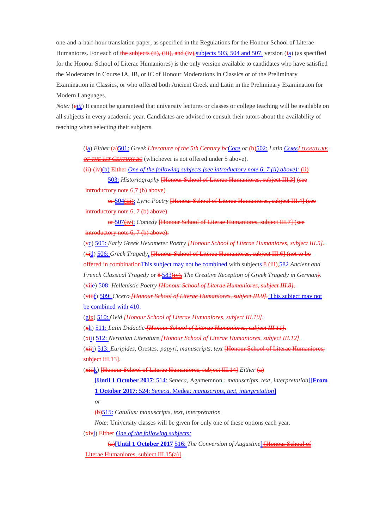one-and-a-half-hour translation paper, as specified in the Regulations for the Honour School of Literae Humaniores. For each of the subjects (ii), (iii), and (iv), subjects 503, 504 and 507, version (ia) (as specified for the Honour School of Literae Humaniores) is the only version available to candidates who have satisfied the Moderators in Course IA, IB, or IC of Honour Moderations in Classics or of the Preliminary Examination in Classics, or who offered both Ancient Greek and Latin in the Preliminary Examination for Modern Languages.

*Note:* (e*iii*) It cannot be guaranteed that university lectures or classes or college teaching will be available on all subjects in every academic year. Candidates are advised to consult their tutors about the availability of teaching when selecting their subjects.

(ia) *Either* (a)501: *Greek Literature of the 5th Century bcCore or* (b)502: *Latin CORELITERATURE OF THE 1ST CENTURY BC* (whichever is not offered under 5 above).

(ii) (iv)(b) Either *One of the following subjects (see introductory note 6, 7 (ii) above)*: (ii)

503: *Historiography* [Honour School of Literae Humaniores, subject III.3] (see introductory note 6,7 (b) above)

or 504(iii): *Lyric Poetry* [Honour School of Literae Humaniores, subject III.4] (see introductory note 6, 7 (b) above)

or 507(iv): *Comedy* [Honour School of Literae Humaniores, subject III.7] (see introductory note 6, 7 (b) above).

(vc) 505: *Early Greek Hexameter Poetry [Honour School of Literae Humaniores, subject III.5].* (vid) 506: *Greek Tragedy*. [Honour School of Literae Humaniores, subject III.6] (not to be offered in combinationThis subject may not be combined with subjects 8 (iii),582 *Ancient and French Classical Tragedy* or 8 583(iv), *The Creative Reception of Greek Tragedy in German)*.

(viie) 508: *Hellenistic Poetry [Honour School of Literae Humaniores, subject III.8].*

(viiif) 509: *Cicero [Honour School of Literae Humaniores, subject III.9].* This subject may not be combined with 410.

(gix) 510: *Ovid [Honour School of Literae Humaniores, subject III.10].*

(xh) 511: *Latin Didactic [Honour School of Literae Humaniores, subject III.11].*

(xii) 512: *Neronian Literature [Honour School of Literae Humaniores, subject III.12].*

(xiij) 513: *Euripides,* Orestes*: papyri, manuscripts, text* [Honour School of Literae Humaniores, subject III.131.

(xiiik) [Honour School of Literae Humaniores, subject III.14] *Either* (a)

[**Until 1 October 2017**: 514: *Seneca,* Agamemnon *: manuscripts, text, interpretation*][**From 1 October 2017**: 524: *Seneca,* Medea*: manuscripts, text, interpretation*]

*or*

(b)515: *Catullus: manuscripts, text, interpretation*

*Note:* University classes will be given for only one of these options each year.

(xivl) Either *One of the following subjects:*

(a)[Until 1 October 2017 516: *The Conversion of Augustine*] [Honour School of Literae Humaniores, subject III.15(a)]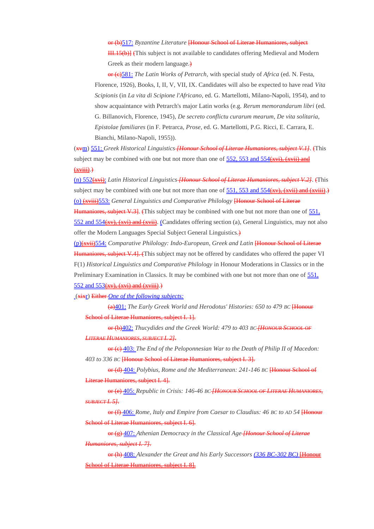or (b)517: *Byzantine Literature* [Honour School of Literae Humaniores, subject III.15(b)] (This subject is not available to candidates offering Medieval and Modern Greek as their modern language.

or (c)581: *The Latin Works of Petrarch*, with special study of *Africa* (ed. N. Festa, Florence, 1926), Books, I, II, V, VII, IX. Candidates will also be expected to have read *Vita Scipionis* (in *La vita di Scipione l'Africano*, ed. G. Martellotti, Milano-Napoli, 1954), and to show acquaintance with Petrarch's major Latin works (e.g. *Rerum memorandarum libri* (ed. G. Billanovich, Florence, 1945), *De secreto conflictu curarum mearum*, *De vita solitaria*, *Epistolae familiares* (in F. Petrarca, *Prose*, ed. G. Martellotti, P.G. Ricci, E. Carrara, E. Bianchi, Milano-Napoli, 1955)).

(xvm) 551: *Greek Historical Linguistics [Honour School of Literae Humaniores, subject V.1]*. (This subject may be combined with one but not more than one of 552, 553 and 554 $(x\ddot{w}i)$ ,  $(x\ddot{w}i)$  and  $(x$ viii).

(n) 552(xvi): *Latin Historical Linguistics [Honour School of Literae Humaniores, subject V.2]*. (This subject may be combined with one but not more than one of 551, 553 and 554 $(x, \hat{y})$ ,  $(x, \hat{y})$  and  $(x, \hat{y})$ . (o) (xviii)553: *General Linguistics and Comparative Philology* [Honour School of Literae

Humaniores, subject V.3]. (This subject may be combined with one but not more than one of 551, 552 and 554(xv), (xvi) and (xvii). (Candidates offering section (a), General Linguistics, may not also offer the Modern Languages Special Subject General Linguistics.)

(p)(xvii)554: *Comparative Philology: Indo-European, Greek and Latin* [Honour School of Literae Humaniores, subject V.4]. (This subject may not be offered by candidates who offered the paper VI F(1) *Historical Linguistics and Comparative Philology* in Honour Moderations in Classics or in the Preliminary Examination in Classics. It may be combined with one but not more than one of 551, 552 and  $553(xy)$ ,  $(xyi)$  and  $(xviii)$ .)

(xixr) Either *One of the following subjects:*

(a)401: *The Early Greek World and Herodotus' Histories: 650 to 479 BC* [Honour School of Literae Humaniores, subject I. 1].

or (b)402: *Thucydides and the Greek World: 479 to 403 BC [HONOUR SCHOOL OF LITERAE HUMANIORES, SUBJECT I. 2].*

or (c) 403: *The End of the Peloponnesian War to the Death of Philip II of Macedon: 403 to 336 BC* [Honour School of Literae Humaniores, subject I. 3].

or (d) 404: *Polybius, Rome and the Mediterranean: 241-146 BC* [Honour School of Literae Humaniores, subject I. 4].

or (e) 405: *Republic in Crisis: 146-46 BC [HONOUR SCHOOL OF LITERAE HUMANIORES, SUBJECT I. 5].*

or (f) 406: *Rome, Italy and Empire from Caesar to Claudius: 46 BC to AD 54* [Honour School of Literae Humaniores, subject I. 6.

or (g) 407: *Athenian Democracy in the Classical Age [Honour School of Literae Humaniores, subject I. 7].*

or (h) 408: *Alexander the Great and his Early Successors (336 BC-302 BC)* [Honour School of Literae Humaniores, subject I. 8].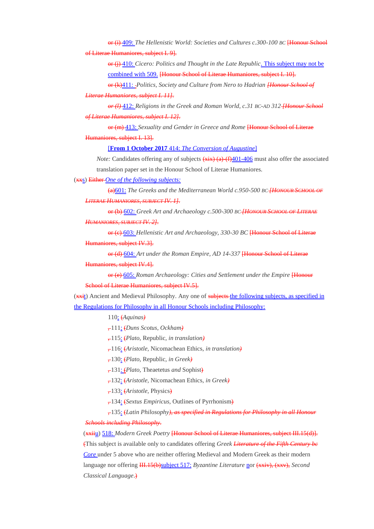or (i) 409: *The Hellenistic World: Societies and Cultures c.300-100 BC* [Honour School of Literae Humaniores, subject I. 9].

or (j) 410: *Cicero: Politics and Thought in the Late Republic*. This subject may not be combined with 509. [Honour School of Literae Humaniores, subject I. 10].

or (k)411: *Politics, Society and Culture from Nero to Hadrian [Honour School of Literae Humaniores, subject I. 11].*

*or (l)* 412: *Religions in the Greek and Roman World, c.31 BC-AD 312 [Honour School of Literae Humaniores, subject I. 12].*

or (m) 413: Sexuality and Gender in Greece and Rome **[Honour School of Literae** Humaniores, subject I. 13].

[**From 1 October 2017** 414: *The Conversion of Augustine*]

*Note:* Candidates offering any of subjects  $(xix)$  (a) (f)401-406 must also offer the associated translation paper set in the Honour School of Literae Humaniores.

(xxs) Either *One of the following subjects:*

(a)601: *The Greeks and the Mediterranean World c.950-500 BC [HONOUR SCHOOL OF LITERAE HUMANIORES, SUBJECT IV. 1].*

or (b) 602: *Greek Art and Archaeology c.500-300 BC [HONOUR SCHOOL OF LITERAE HUMANIORES, SUBJECT IV. 2].*

or (c) 603: *Hellenistic Art and Archaeology, 330-30 BC* [Honour School of Literae

Humaniores, subject IV.3].

or (d) 604: *Art under the Roman Empire, AD 14-337* [Honour School of Literae

Humaniores, subject IV.4].

or (e) 605: *Roman Archaeology: Cities and Settlement under the Empire* [Honour

School of Literae Humaniores, subject IV.5].

(\*\*\*) Ancient and Medieval Philosophy. Any one of subjects the following subjects, as specified in the Regulations for Philosophy in all Honour Schools including Philosophy:

110: (*Aquinas)*

, 111: (*Duns Scotus, Ockham)*

, 115: (*Plato,* Republic*, in translation)*

, 116: (*Aristotle,* Nicomachean Ethics*, in translation)*

, 130: (*Plato,* Republic*, in Greek)*

, 131: (*Plato,* Theaetetus *and* Sophist)

, 132: (*Aristotle,* Nicomachean Ethics*, in Greek)*

, 133: (*Aristotle,* Physics)

, 134: (*Sextus Empiricus,* Outlines of Pyrrhonism)

, 135: (*Latin Philosophy), as specified in Regulations for Philosophy in all Honour* 

*Schools including Philosophy.*

(xxiiu) 518: *Modern Greek Poetry* [Honour School of Literae Humaniores, subject III.15(d)]. (This subject is available only to candidates offering *Greek Literature of the Fifth Century bc Core* under 5 above who are neither offering Medieval and Modern Greek as their modern language nor offering III.15(b)subject 517: *Byzantine Literature* nor (xxiv), (xxv), *Second Classical Language*.)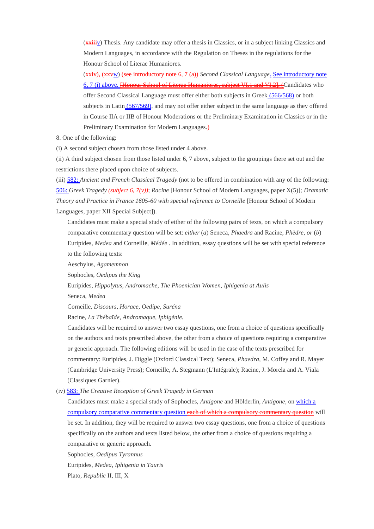(**xxiii**v) Thesis. Any candidate may offer a thesis in Classics, or in a subject linking Classics and Modern Languages, in accordance with the Regulation on Theses in the regulations for the Honour School of Literae Humaniores.

(xxiv), (xxvw) (see introductory note 6, 7 (a)) *Second Classical Language*. See introductory note 6, 7 (i) above. **[Honour School of Literae Humaniores, subject VI.1 and VI.2].** (Candidates who offer Second Classical Language must offer either both subjects in Greek (566/568) or both subjects in Latin (567/569), and may not offer either subject in the same language as they offered in Course IIA or IIB of Honour Moderations or the Preliminary Examination in Classics or in the Preliminary Examination for Modern Languages.)

8. One of the following:

(i) A second subject chosen from those listed under 4 above.

(ii) A third subject chosen from those listed under 6, 7 above, subject to the groupings there set out and the restrictions there placed upon choice of subjects.

(iii) 582: *Ancient and French Classical Tragedy* (not to be offered in combination with any of the following: 506: *Greek Tragedy (subject 6, 7(v))*; *Racine* [Honour School of Modern Languages, paper X(5)]; *Dramatic Theory and Practice in France 1605-60 with special reference to Corneille* [Honour School of Modern Languages, paper XII Special Subject]).

Candidates must make a special study of either of the following pairs of texts, on which a compulsory comparative commentary question will be set: *either* (*a*) Seneca, *Phaedra* and Racine, *Phèdre*, *or* (*b*) Euripides, *Medea* and Corneille, *Médée* . In addition, essay questions will be set with special reference to the following texts:

Aeschylus, *Agamemnon*

Sophocles, *Oedipus the King*

Euripides, *Hippolytus, Andromache, The Phoenician Women, Iphigenia at Aulis*

Seneca, *Medea*

Corneille, *Discours, Horace, Oedipe, Suréna*

Racine, *La Thébaïde, Andromaque, Iphigénie.*

Candidates will be required to answer two essay questions, one from a choice of questions specifically on the authors and texts prescribed above, the other from a choice of questions requiring a comparative or generic approach. The following editions will be used in the case of the texts prescribed for commentary: Euripides, J. Diggle (Oxford Classical Text); Seneca, *Phaedra*, M. Coffey and R. Mayer (Cambridge University Press); Corneille, A. Stegmann (L'Intégrale); Racine, J. Morela and A. Viala (Classiques Garnier).

(iv) 583: *The Creative Reception of Greek Tragedy in German*

Candidates must make a special study of Sophocles, *Antigone* and Hölderlin, *Antigone*, on which a compulsory comparative commentary question each of which a compulsory commentary question will be set. In addition, they will be required to answer two essay questions, one from a choice of questions specifically on the authors and texts listed below, the other from a choice of questions requiring a comparative or generic approach.

Sophocles, *Oedipus Tyrannus*

Euripides, *Medea, Iphigenia in Tauris*

Plato, *Republic* II, III, X